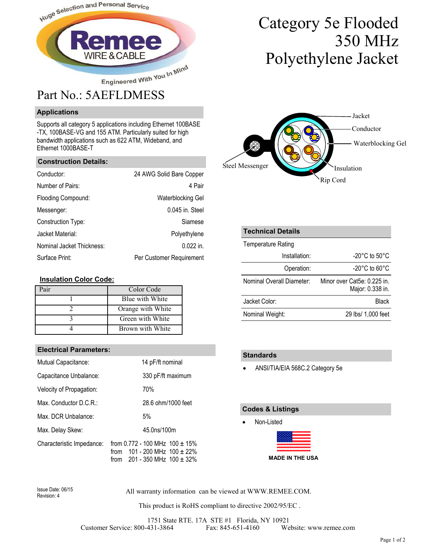

### **Applications**

Supports all category 5 applications including Ethernet 100BASE -TX, 100BASE-VG and 155 ATM. Particularly suited for high bandwidth applications such as 622 ATM, Wideband, and Ethernet 1000BASE-T

#### **Construction Details:**

| Conductor:                | 24 AWG Solid Bare Copper |
|---------------------------|--------------------------|
| Number of Pairs:          | 4 Pair                   |
| Flooding Compound:        | <b>Waterblocking Gel</b> |
| Messenger:                | 0.045 in. Steel          |
| Construction Type:        | Siamese                  |
| Jacket Material:          | Polyethylene             |
| Nominal Jacket Thickness: | $0.022$ in.              |
| Surface Print:            | Per Customer Requirement |

#### **Insulation Color Code:**

| air! | Color Code        |
|------|-------------------|
|      | Blue with White   |
|      | Orange with White |
|      | Green with White  |
|      | Brown with White  |

#### **Electrical Parameters:**

| Mutual Capacitance:       | 14 pF/ft nominal                                                                                                    |  |  |
|---------------------------|---------------------------------------------------------------------------------------------------------------------|--|--|
| Capacitance Unbalance:    | 330 pF/ft maximum                                                                                                   |  |  |
| Velocity of Propagation:  | 70%                                                                                                                 |  |  |
| Max. Conductor $D.C.R.:$  | 28.6 ohm/1000 feet                                                                                                  |  |  |
| Max. DCR Unbalance:       | 5%                                                                                                                  |  |  |
| Max. Delay Skew:          | 45.0ns/100m                                                                                                         |  |  |
| Characteristic Impedance: | from 0.772 - 100 MHz $100 \pm 15\%$<br>101 - 200 MHz $100 \pm 22\%$<br>from<br>201 - 350 MHz $100 \pm 32\%$<br>from |  |  |

# Category 5e Flooded 350 MHz Polyethylene Jacket



| <b>Technical Details</b>  |                                                 |
|---------------------------|-------------------------------------------------|
| Temperature Rating        |                                                 |
| Installation:             | -20 $^{\circ}$ C to 50 $^{\circ}$ C             |
| Operation:                | $-20^{\circ}$ C to 60 $^{\circ}$ C              |
| Nominal Overall Diameter: | Minor over Cat5e: 0.225 in.<br>Major: 0.338 in. |
| Jacket Color:             | <b>Black</b>                                    |
| Nominal Weight:           | 29 lbs/ 1,000 feet                              |

#### **Standards**

• ANSI/TIA/EIA 568C.2 Category 5e

#### **Codes & Listings**

• Non-Listed

Revision: 4

All warranty information can be viewed at WWW.REMEE.COM. Issue Date: 06/15

This product is RoHS compliant to directive 2002/95/EC .

1751 State RTE. 17A STE #1 Florida, NY 10921 Customer Service: 800-431-3864 Fax: 845-651-4160 Website: www.remee.com